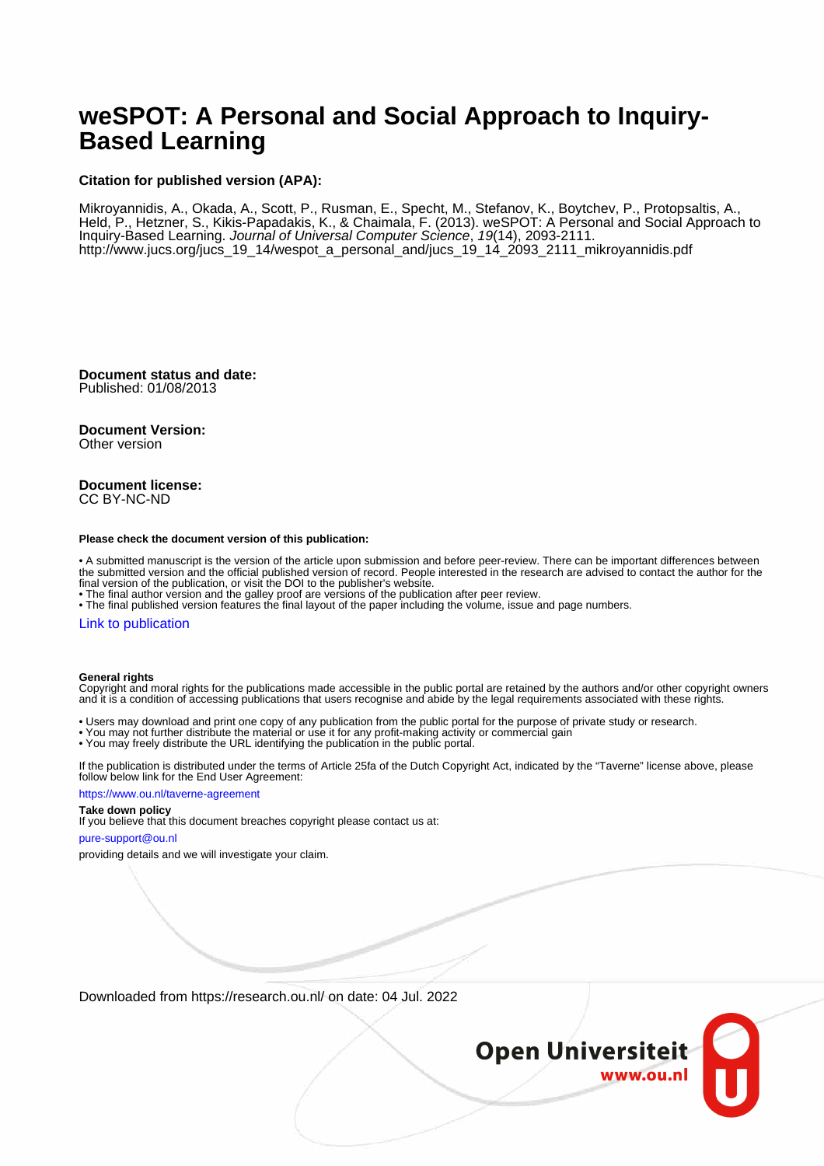# **weSPOT: A Personal and Social Approach to Inquiry-Based Learning**

#### **Citation for published version (APA):**

Mikroyannidis, A., Okada, A., Scott, P., Rusman, E., Specht, M., Stefanov, K., Boytchev, P., Protopsaltis, A., Held, P., Hetzner, S., Kikis-Papadakis, K., & Chaimala, F. (2013). weSPOT: A Personal and Social Approach to Inquiry-Based Learning. Journal of Universal Computer Science, 19(14), 2093-2111. [http://www.jucs.org/jucs\\_19\\_14/wespot\\_a\\_personal\\_and/jucs\\_19\\_14\\_2093\\_2111\\_mikroyannidis.pdf](http://www.jucs.org/jucs_19_14/wespot_a_personal_and/jucs_19_14_2093_2111_mikroyannidis.pdf)

**Document status and date:** Published: 01/08/2013

## **Document Version:**

Other version

#### **Document license:** CC BY-NC-ND

#### **Please check the document version of this publication:**

• A submitted manuscript is the version of the article upon submission and before peer-review. There can be important differences between the submitted version and the official published version of record. People interested in the research are advised to contact the author for the final version of the publication, or visit the DOI to the publisher's website.

• The final author version and the galley proof are versions of the publication after peer review.

• The final published version features the final layout of the paper including the volume, issue and page numbers.

#### [Link to publication](https://research.ou.nl/en/publications/d4cf4146-0aa8-45e6-b9c7-6431799571b5)

#### **General rights**

Copyright and moral rights for the publications made accessible in the public portal are retained by the authors and/or other copyright owners and it is a condition of accessing publications that users recognise and abide by the legal requirements associated with these rights.

- Users may download and print one copy of any publication from the public portal for the purpose of private study or research.
- You may not further distribute the material or use it for any profit-making activity or commercial gain
- You may freely distribute the URL identifying the publication in the public portal.

If the publication is distributed under the terms of Article 25fa of the Dutch Copyright Act, indicated by the "Taverne" license above, please follow below link for the End User Agreement:

#### https://www.ou.nl/taverne-agreement

## **Take down policy**

If you believe that this document breaches copyright please contact us at:

#### pure-support@ou.nl

providing details and we will investigate your claim.

Downloaded from https://research.ou.nl/ on date: 04 Jul. 2022